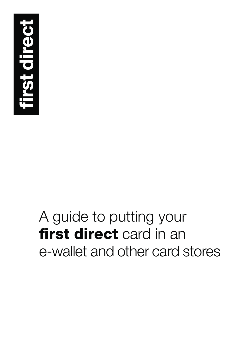

# A guide to putting your **first direct** card in an e-wallet and other card stores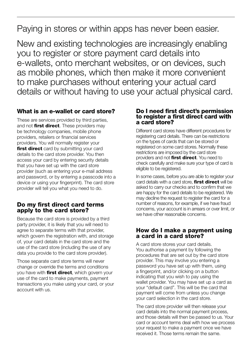Paying in stores or within apps has never been easier.

New and existing technologies are increasingly enabling you to register or store payment card details into e-wallets, onto merchant websites, or on devices, such as mobile phones, which then make it more convenient to make purchases without entering your actual card details or without having to use your actual physical card.

# **What is an e-wallet or card store?**

These are services provided by third parties, and not **first direct**. These providers may be technology companies, mobile phone providers, retailers or financial services providers. You will normally register your **first direct** card by submitting your card details to the card store provider. You then access your card by entering security details that you have set up with the card store provider (such as entering your e-mail address and password, or by entering a passcode into a device or using your fingerprint). The card store provider will tell you what you need to do.

## **Do my first direct card terms apply to the card store?**

Because the card store is provided by a third party provider, it is likely that you will need to agree to separate terms with that provider, which govern the registration with, and storage of, your card details in the card store and the use of the card store (including the use of any data you provide to the card store provider).

Those separate card store terms will never change or override the terms and conditions you have with **first direct**, which govern your use of the card to make payments, payment transactions you make using your card, or your account with us.

#### **Do I need first direct's permission to register a first direct card with a card store?**

Different card stores have different procedures for registering card details. There can be restrictions on the types of cards that can be stored or registered on some card stores. Normally these restrictions are imposed by the card store providers and not **first direct**. You need to check carefully and make sure your type of card is eligible to be registered.

In some cases, before you are able to register your card details with a card store, **first direct** will be asked to carry our checks and to confirm that we are happy for the card details to be registered. We may decline the request to register the card for a number of reasons, for example, if we have fraud concerns, your account is in arrears or over limit, or we have other reasonable concerns.

## **How do I make a payment using a card in a card store?**

A card store stores your card details. You authorise a payment by following the procedures that are set out by the card store provider. This may involve you entering a password you have set up with them, using a fingerprint, and/or clicking on a button indicating that you wish to pay using the wallet provider. You may have set up a card as your "default card". This will be the card that payment will come from unless you change your card selection in the card store.

The card store provider will then release your card details into the normal payment process, and those details will then be passed to us. Your card or account terms deal with how we process your request to make a payment once we have received it. Those terms remain the same.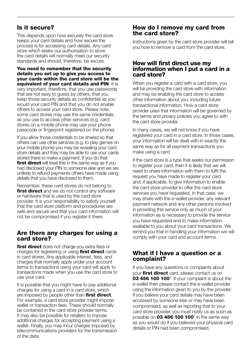# **Is it secure?**

This depends upon how securely the card store keeps your card details and how secure the process is for accessing card details. Any card store which seeks our authorisation to store the card details will normally meet our security standards and should, therefore, be secure.

**You need to remember that the security details you set up to give you access to your cards within the card store will be the equivalent of your card details and PIN**. It is very important, therefore, that you use passwords that are not easy to guess by others, that you keep those security details as confidential as you would your card PIN and that you do not enable others to access your card store. Please note, some card stores may use the same credentials as you use to access other services (e.g. card stores on a mobile phone may use your phone passcode or fingerprint registered on the phone).

If you allow those credentials to be shared so that others can use other services (e.g. to play games on your mobile phone) you may be revealing your card store details and they may be able to use your cards stored there to make a payment. If you do that **first direct** will treat this in the same way as if you had disclosed your PIN to someone else and we are unlikely to refund payments others have made using details that you have disclosed to them.

Remember, these card stores do not belong to **first direct** and we do not control any software or hardware that is used by the card store provider. It is your responsibility to satisfy yourself that the card store platform and procedures are safe and secure and that your card information will not be compromised if you register it there.

# **Are there any charges for using a card store?**

**first direct** does not charge you extra fees or charges for registering or using **first direct** cards in card stores. Any applicable interest, fees, and charges that normally apply under your account terms to transactions using your card will apply to transactions made when you use the card store to use your card.

It is possible that you might have to pay additional charges for using a card in a card store, which are imposed by people other than **first direct**. For example, a card store provider might impose wallet or transaction fees. These should normally be contained in the card store provider terms. It may also be possible for retailers to impose additional charges for accepting payment using a wallet. Finally, you may incur charges imposed by telecommunications providers for the transmission of the data.

## **How do I remove my card from the card store?**

Instructions given by the card store provider will tell you how to remove a card from the card store.

## **How will first direct use my information when I put a card in a card store?**

When you register a card with a card store, you will be providing the card store with information and may be enabling the card store to access other information about you, including future transactional information. How a card store provider uses that information will be governed by the terms and privacy policies you agree to with the card store provider.

In many cases, we will not know if you have registered your card in a card store. In those cases, your information will be dealt with in exactly the same way as for all payment transactions you make using a card.

If the card store is a type that seeks our permission to register your card, then it is likely that we will need to share information with them to fulfil the request you have made to register your card and, if applicable, to give information to enable the card store provider to offer the card store services you have requested. In that case, we may share with the e-wallet provider, any relevant payment network and any other persons involved in providing this service only as much of your information as is necessary to provide the service you have requested and to make information available to you about your card transactions. We remind you that in handling your information we will comply with your card and account terms.

# **What if I have a question or a complaint?**

If you have any questions or complaints about your **first direct** card, please contact us on **03 456 100 100**† . If your complaint is about the e-wallet then please contact the e-wallet provider using the information given to you by the provider. If you believe your card details may have been accessed by someone else or may have been compromised, as well as reporting that to your card store provider, you must notify us as soon as possible on **03 456 100 100**† in the same way as you would do if you believed your physical card details or PIN had been compromised.